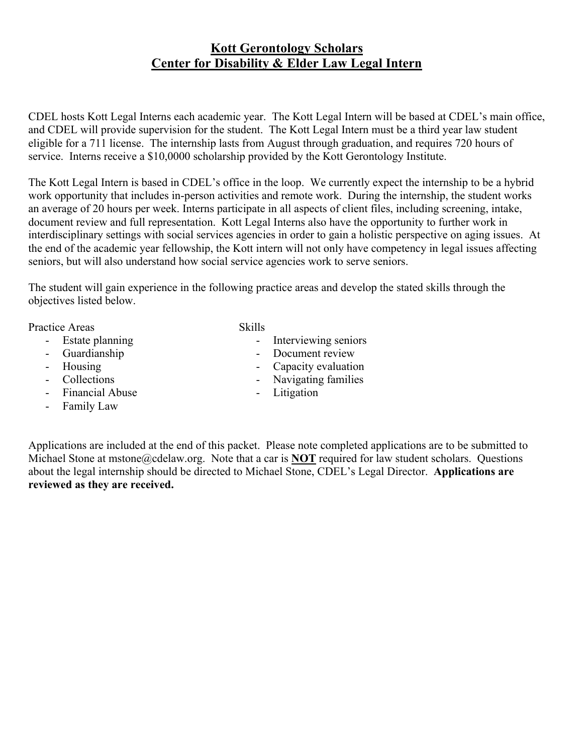## **Kott Gerontology Scholars Center for Disability & Elder Law Legal Intern**

CDEL hosts Kott Legal Interns each academic year. The Kott Legal Intern will be based at CDEL's main office, and CDEL will provide supervision for the student. The Kott Legal Intern must be a third year law student eligible for a 711 license. The internship lasts from August through graduation, and requires 720 hours of service. Interns receive a \$10,0000 scholarship provided by the Kott Gerontology Institute.

The Kott Legal Intern is based in CDEL's office in the loop. We currently expect the internship to be a hybrid work opportunity that includes in-person activities and remote work. During the internship, the student works an average of 20 hours per week. Interns participate in all aspects of client files, including screening, intake, document review and full representation. Kott Legal Interns also have the opportunity to further work in interdisciplinary settings with social services agencies in order to gain a holistic perspective on aging issues. At the end of the academic year fellowship, the Kott intern will not only have competency in legal issues affecting seniors, but will also understand how social service agencies work to serve seniors.

The student will gain experience in the following practice areas and develop the stated skills through the objectives listed below.

Practice Areas Skills

- Estate planning
- Guardianship
- Housing
- Collections
- Financial Abuse
- Family Law

- Interviewing seniors
- Document review
- Capacity evaluation
- Navigating families
- Litigation

Applications are included at the end of this packet. Please note completed applications are to be submitted to Michael Stone at mstone@cdelaw.org. Note that a car is **NOT** required for law student scholars. Questions about the legal internship should be directed to Michael Stone, CDEL's Legal Director. **Applications are reviewed as they are received.**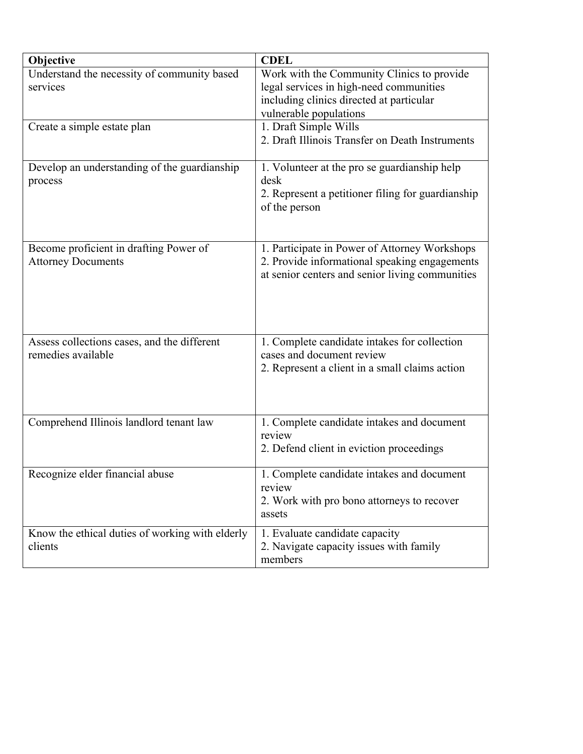| Objective                                       | <b>CDEL</b>                                       |
|-------------------------------------------------|---------------------------------------------------|
| Understand the necessity of community based     | Work with the Community Clinics to provide        |
| services                                        | legal services in high-need communities           |
|                                                 | including clinics directed at particular          |
|                                                 | vulnerable populations                            |
| Create a simple estate plan                     | 1. Draft Simple Wills                             |
|                                                 | 2. Draft Illinois Transfer on Death Instruments   |
|                                                 |                                                   |
| Develop an understanding of the guardianship    | 1. Volunteer at the pro se guardianship help      |
| process                                         | desk                                              |
|                                                 | 2. Represent a petitioner filing for guardianship |
|                                                 | of the person                                     |
|                                                 |                                                   |
|                                                 |                                                   |
| Become proficient in drafting Power of          | 1. Participate in Power of Attorney Workshops     |
| <b>Attorney Documents</b>                       | 2. Provide informational speaking engagements     |
|                                                 | at senior centers and senior living communities   |
|                                                 |                                                   |
|                                                 |                                                   |
|                                                 |                                                   |
|                                                 |                                                   |
| Assess collections cases, and the different     | 1. Complete candidate intakes for collection      |
| remedies available                              | cases and document review                         |
|                                                 | 2. Represent a client in a small claims action    |
|                                                 |                                                   |
|                                                 |                                                   |
|                                                 |                                                   |
| Comprehend Illinois landlord tenant law         | 1. Complete candidate intakes and document        |
|                                                 | review                                            |
|                                                 | 2. Defend client in eviction proceedings          |
|                                                 |                                                   |
| Recognize elder financial abuse                 | Complete candidate intakes and document           |
|                                                 | review                                            |
|                                                 | 2. Work with pro bono attorneys to recover        |
|                                                 | assets                                            |
| Know the ethical duties of working with elderly | 1. Evaluate candidate capacity                    |
| clients                                         | 2. Navigate capacity issues with family           |
|                                                 | members                                           |
|                                                 |                                                   |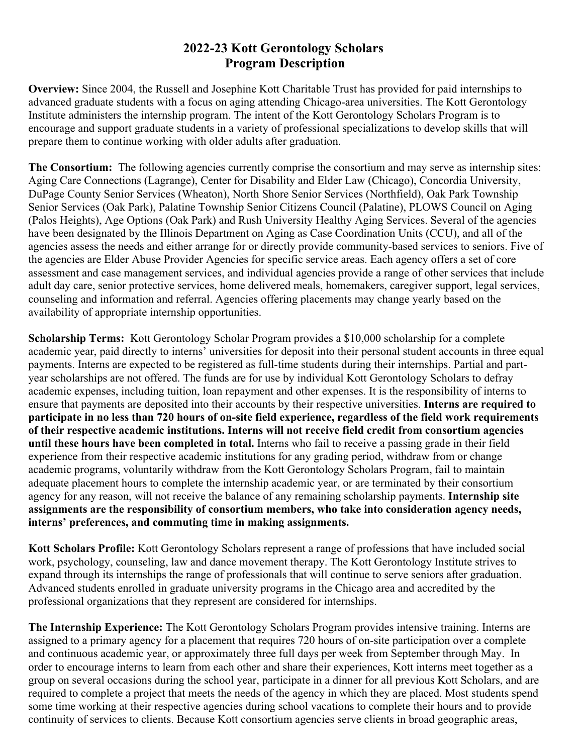## **2022-23 Kott Gerontology Scholars Program Description**

**Overview:** Since 2004, the Russell and Josephine Kott Charitable Trust has provided for paid internships to advanced graduate students with a focus on aging attending Chicago-area universities. The Kott Gerontology Institute administers the internship program. The intent of the Kott Gerontology Scholars Program is to encourage and support graduate students in a variety of professional specializations to develop skills that will prepare them to continue working with older adults after graduation.

**The Consortium:** The following agencies currently comprise the consortium and may serve as internship sites: Aging Care Connections (Lagrange), Center for Disability and Elder Law (Chicago), Concordia University, DuPage County Senior Services (Wheaton), North Shore Senior Services (Northfield), Oak Park Township Senior Services (Oak Park), Palatine Township Senior Citizens Council (Palatine), PLOWS Council on Aging (Palos Heights), Age Options (Oak Park) and Rush University Healthy Aging Services. Several of the agencies have been designated by the Illinois Department on Aging as Case Coordination Units (CCU), and all of the agencies assess the needs and either arrange for or directly provide community-based services to seniors. Five of the agencies are Elder Abuse Provider Agencies for specific service areas. Each agency offers a set of core assessment and case management services, and individual agencies provide a range of other services that include adult day care, senior protective services, home delivered meals, homemakers, caregiver support, legal services, counseling and information and referral. Agencies offering placements may change yearly based on the availability of appropriate internship opportunities.

**Scholarship Terms:** Kott Gerontology Scholar Program provides a \$10,000 scholarship for a complete academic year, paid directly to interns' universities for deposit into their personal student accounts in three equal payments. Interns are expected to be registered as full-time students during their internships. Partial and partyear scholarships are not offered. The funds are for use by individual Kott Gerontology Scholars to defray academic expenses, including tuition, loan repayment and other expenses. It is the responsibility of interns to ensure that payments are deposited into their accounts by their respective universities. **Interns are required to participate in no less than 720 hours of on-site field experience, regardless of the field work requirements of their respective academic institutions. Interns will not receive field credit from consortium agencies until these hours have been completed in total.** Interns who fail to receive a passing grade in their field experience from their respective academic institutions for any grading period, withdraw from or change academic programs, voluntarily withdraw from the Kott Gerontology Scholars Program, fail to maintain adequate placement hours to complete the internship academic year, or are terminated by their consortium agency for any reason, will not receive the balance of any remaining scholarship payments. **Internship site assignments are the responsibility of consortium members, who take into consideration agency needs, interns' preferences, and commuting time in making assignments.**

**Kott Scholars Profile:** Kott Gerontology Scholars represent a range of professions that have included social work, psychology, counseling, law and dance movement therapy. The Kott Gerontology Institute strives to expand through its internships the range of professionals that will continue to serve seniors after graduation. Advanced students enrolled in graduate university programs in the Chicago area and accredited by the professional organizations that they represent are considered for internships.

**The Internship Experience:** The Kott Gerontology Scholars Program provides intensive training. Interns are assigned to a primary agency for a placement that requires 720 hours of on-site participation over a complete and continuous academic year, or approximately three full days per week from September through May. In order to encourage interns to learn from each other and share their experiences, Kott interns meet together as a group on several occasions during the school year, participate in a dinner for all previous Kott Scholars, and are required to complete a project that meets the needs of the agency in which they are placed. Most students spend some time working at their respective agencies during school vacations to complete their hours and to provide continuity of services to clients. Because Kott consortium agencies serve clients in broad geographic areas,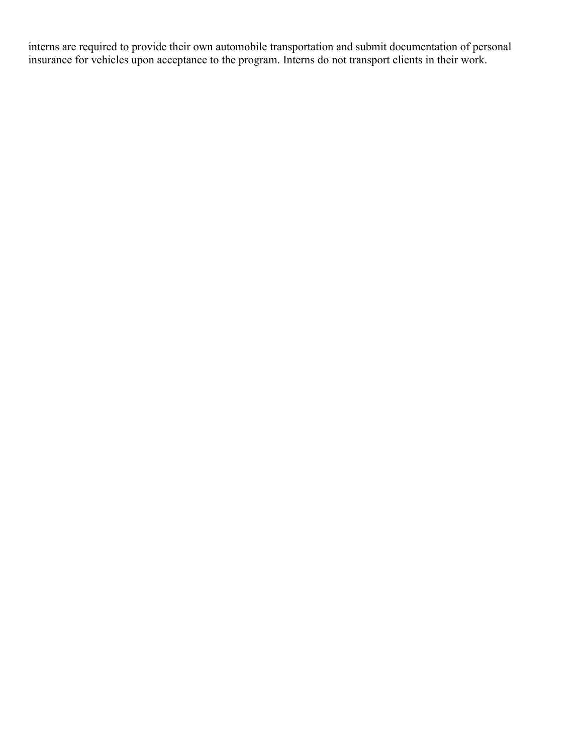interns are required to provide their own automobile transportation and submit documentation of personal insurance for vehicles upon acceptance to the program. Interns do not transport clients in their work.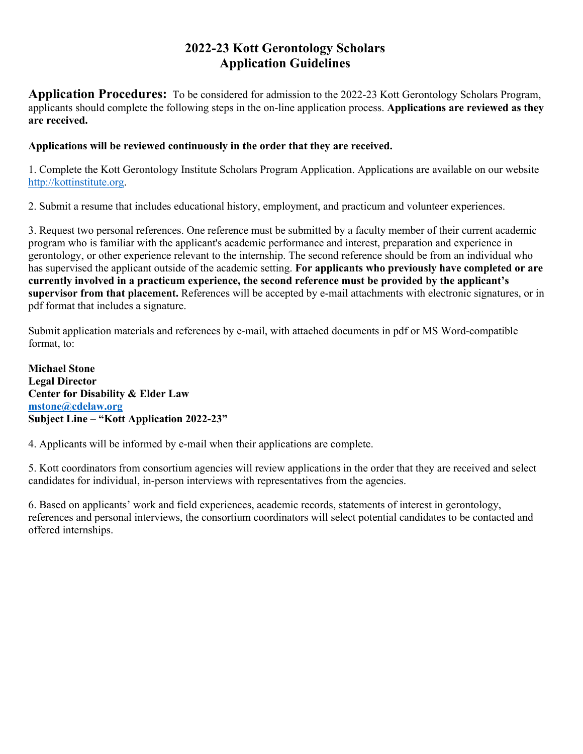# **2022-23 Kott Gerontology Scholars Application Guidelines**

**Application Procedures:** To be considered for admission to the 2022-23 Kott Gerontology Scholars Program, applicants should complete the following steps in the on-line application process. **Applications are reviewed as they are received.** 

#### **Applications will be reviewed continuously in the order that they are received.**

1. Complete the Kott Gerontology Institute Scholars Program Application. Applications are available on our website http://kottinstitute.org.

2. Submit a resume that includes educational history, employment, and practicum and volunteer experiences.

3. Request two personal references. One reference must be submitted by a faculty member of their current academic program who is familiar with the applicant's academic performance and interest, preparation and experience in gerontology, or other experience relevant to the internship. The second reference should be from an individual who has supervised the applicant outside of the academic setting. **For applicants who previously have completed or are currently involved in a practicum experience, the second reference must be provided by the applicant's supervisor from that placement.** References will be accepted by e-mail attachments with electronic signatures, or in pdf format that includes a signature.

Submit application materials and references by e-mail, with attached documents in pdf or MS Word-compatible format, to:

**Michael Stone Legal Director Center for Disability & Elder Law mstone@cdelaw.org Subject Line – "Kott Application 2022-23"**

4. Applicants will be informed by e-mail when their applications are complete.

5. Kott coordinators from consortium agencies will review applications in the order that they are received and select candidates for individual, in-person interviews with representatives from the agencies.

6. Based on applicants' work and field experiences, academic records, statements of interest in gerontology, references and personal interviews, the consortium coordinators will select potential candidates to be contacted and offered internships.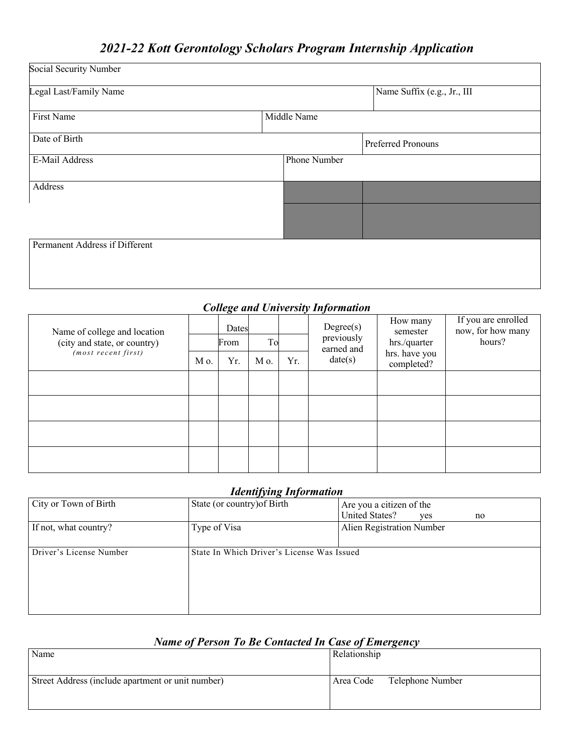# *2021-22 Kott Gerontology Scholars Program Internship Application*

| Social Security Number         |             |              |                             |  |  |
|--------------------------------|-------------|--------------|-----------------------------|--|--|
| Legal Last/Family Name         |             |              | Name Suffix (e.g., Jr., III |  |  |
| First Name                     | Middle Name |              |                             |  |  |
| Date of Birth                  |             |              | Preferred Pronouns          |  |  |
| E-Mail Address                 |             | Phone Number |                             |  |  |
| Address                        |             |              |                             |  |  |
|                                |             |              |                             |  |  |
| Permanent Address if Different |             |              |                             |  |  |
|                                |             |              |                             |  |  |

## *College and University Information*

| Name of college and location                          |      | Dates |      |     | Degree(s)<br>previously | How many<br>semester<br>hours?<br>hrs./quarter | If you are enrolled<br>now, for how many |
|-------------------------------------------------------|------|-------|------|-----|-------------------------|------------------------------------------------|------------------------------------------|
| (city and state, or country)<br>$(most$ recent first) |      | From  | To   |     | earned and              |                                                |                                          |
|                                                       | M o. | Yr.   | M o. | Yr. | date(s)                 | hrs. have you<br>completed?                    |                                          |
|                                                       |      |       |      |     |                         |                                                |                                          |
|                                                       |      |       |      |     |                         |                                                |                                          |
|                                                       |      |       |      |     |                         |                                                |                                          |
|                                                       |      |       |      |     |                         |                                                |                                          |
|                                                       |      |       |      |     |                         |                                                |                                          |

### *Identifying Information*

| City or Town of Birth   | State (or country) of Birth                | Are you a citizen of the           |  |
|-------------------------|--------------------------------------------|------------------------------------|--|
|                         |                                            | <b>United States?</b><br>yes<br>no |  |
| If not, what country?   | Type of Visa                               | Alien Registration Number          |  |
|                         |                                            |                                    |  |
| Driver's License Number | State In Which Driver's License Was Issued |                                    |  |
|                         |                                            |                                    |  |
|                         |                                            |                                    |  |
|                         |                                            |                                    |  |
|                         |                                            |                                    |  |
|                         |                                            |                                    |  |

## *Name of Person To Be Contacted In Case of Emergency*

| Name                                              | Relationship                  |
|---------------------------------------------------|-------------------------------|
| Street Address (include apartment or unit number) | Telephone Number<br>Area Code |